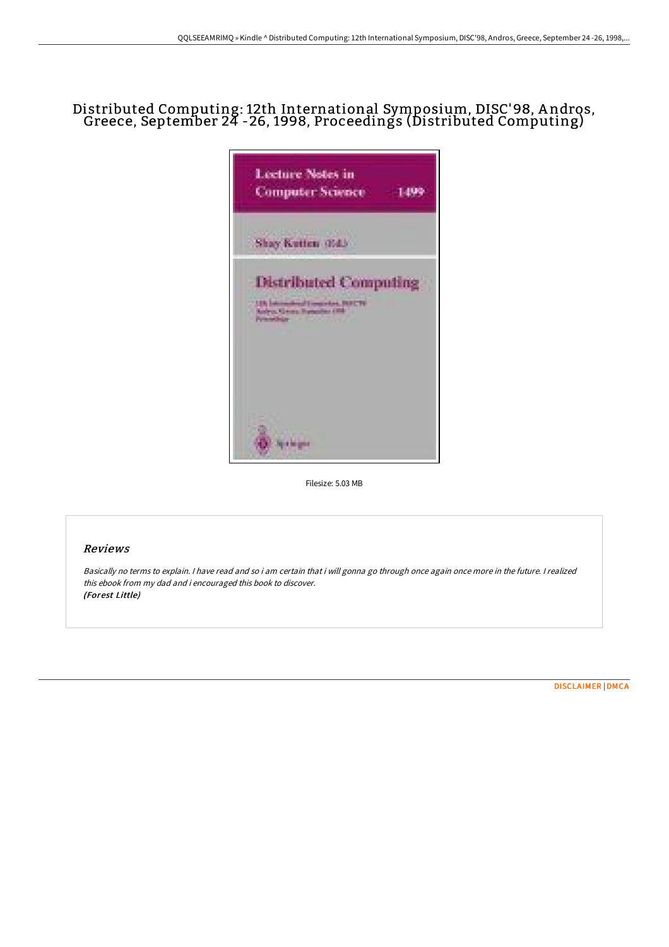# Distributed Computing: 12th International Symposium, DISC'98, <sup>A</sup> ndros, Greece, September <sup>24</sup> -26, 1998, Proceedings (Distributed Computing)



Filesize: 5.03 MB

### Reviews

Basically no terms to explain. <sup>I</sup> have read and so i am certain that i will gonna go through once again once more in the future. <sup>I</sup> realized this ebook from my dad and i encouraged this book to discover. (Forest Little)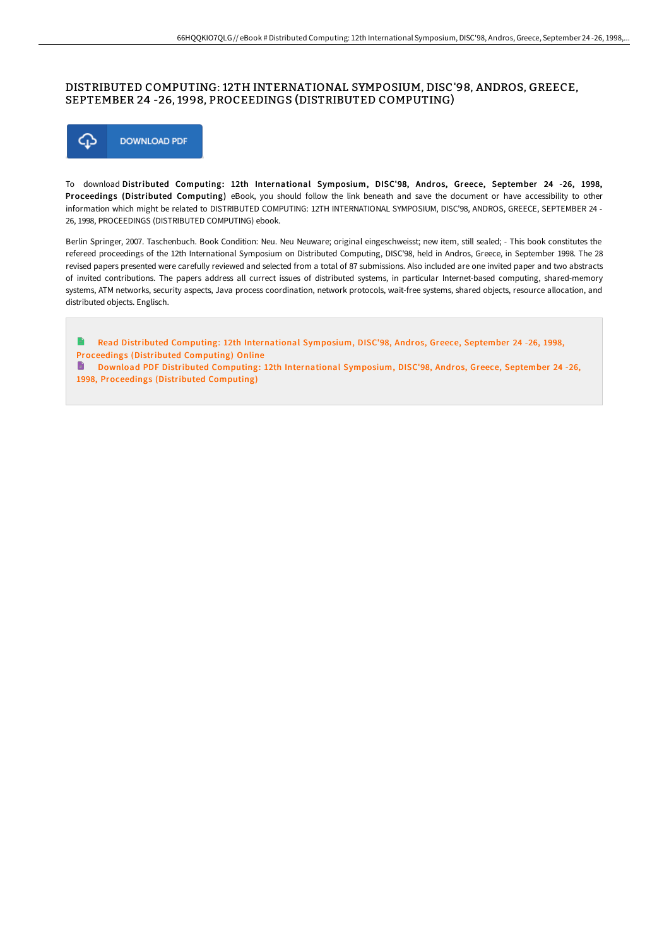#### DISTRIBUTED COMPUTING: 12TH INTERNATIONAL SYMPOSIUM, DISC'98, ANDROS, GREECE, SEPTEMBER 24 -26, 1998, PROCEEDINGS (DISTRIBUTED COMPUTING)



To download Distributed Computing: 12th International Symposium, DISC'98, Andros, Greece, September 24 -26, 1998, Proceedings (Distributed Computing) eBook, you should follow the link beneath and save the document or have accessibility to other information which might be related to DISTRIBUTED COMPUTING: 12TH INTERNATIONAL SYMPOSIUM, DISC'98, ANDROS, GREECE, SEPTEMBER 24 - 26, 1998, PROCEEDINGS (DISTRIBUTED COMPUTING) ebook.

Berlin Springer, 2007. Taschenbuch. Book Condition: Neu. Neu Neuware; original eingeschweisst; new item, still sealed; - This book constitutes the refereed proceedings of the 12th International Symposium on Distributed Computing, DISC'98, held in Andros, Greece, in September 1998. The 28 revised papers presented were carefully reviewed and selected from a total of 87 submissions. Also included are one invited paper and two abstracts of invited contributions. The papers address all currect issues of distributed systems, in particular Internet-based computing, shared-memory systems, ATM networks, security aspects, Java process coordination, network protocols, wait-free systems, shared objects, resource allocation, and distributed objects. Englisch.

B Read Distributed Computing: 12th [International](http://digilib.live/distributed-computing-12th-international-symposi.html) Symposium, DISC'98, Andros, Greece, September 24 -26, 1998, Proceedings (Distributed Computing) Online

Download PDF Distributed Computing: 12th [International](http://digilib.live/distributed-computing-12th-international-symposi.html) Symposium, DISC'98, Andros, Greece, September 24 -26, 1998, Proceedings (Distributed Computing)